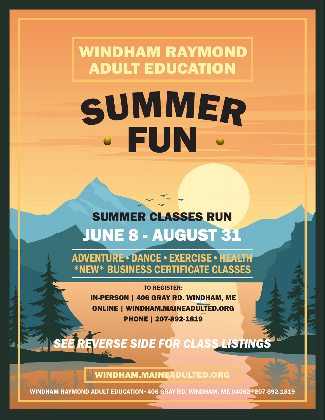# WINDHAM RAYMOND ADULT EDUCATION SUMMER FUN

# JUNE 8 - AUGUST 31 SUMMER CLASSES RUN

ADVENTURE•DANCE•EXERCISE•HEALTH \*NEW\* BUSINESS CERTIFICATE CLASSES

> TO REGISTER: IN-PERSON | 406 GRAY RD. WINDHAM, ME ONLINE | WINDHAM.MAINEADULTED.ORG PHONE | 207-892-1819

ERSE SIDE FOR CLASS LISTINGS

WINDHAM.MAINEADULTED.ORG

WINDHAM RAYMOND ADULT EDUCATION•406 GRAY RD. WINDHAM, ME 04062•207-892-1819